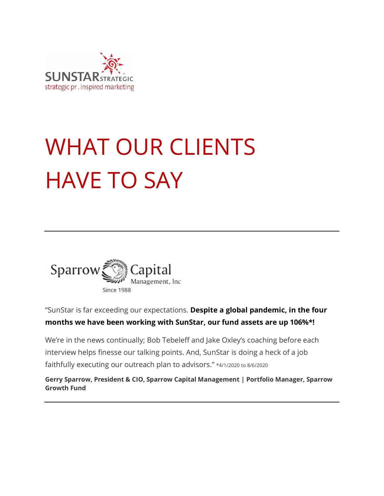

# WHAT OUR CLIENTS HAVE TO SAY



"SunStar is far exceeding our expectations. **Despite a global pandemic, in the four months we have been working with SunStar, our fund assets are up 106%\*!**

We're in the news continually; Bob Tebeleff and Jake Oxley's coaching before each interview helps finesse our talking points. And, SunStar is doing a heck of a job faithfully executing our outreach plan to advisors." \*4/1/2020 to 8/6/2020

**Gerry Sparrow, President & CIO, Sparrow Capital Management | Portfolio Manager, Sparrow Growth Fund**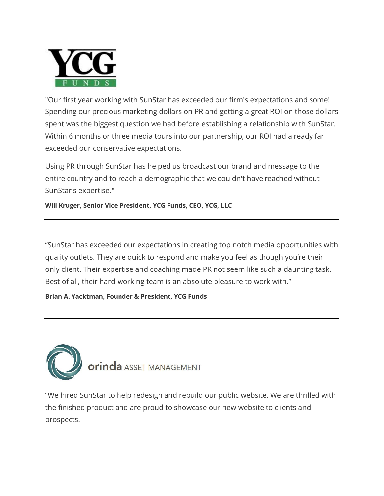

"Our first year working with SunStar has exceeded our firm's expectations and some! Spending our precious marketing dollars on PR and getting a great ROI on those dollars spent was the biggest question we had before establishing a relationship with SunStar. Within 6 months or three media tours into our partnership, our ROI had already far exceeded our conservative expectations.

Using PR through SunStar has helped us broadcast our brand and message to the entire country and to reach a demographic that we couldn't have reached without SunStar's expertise."

**Will Kruger, Senior Vice President, YCG Funds, CEO, YCG, LLC**

"SunStar has exceeded our expectations in creating top notch media opportunities with quality outlets. They are quick to respond and make you feel as though you're their only client. Their expertise and coaching made PR not seem like such a daunting task. Best of all, their hard-working team is an absolute pleasure to work with."

### **Brian A. Yacktman, Founder & President, YCG Funds**



"We hired SunStar to help redesign and rebuild our public website. We are thrilled with the finished product and are proud to showcase our new website to clients and prospects.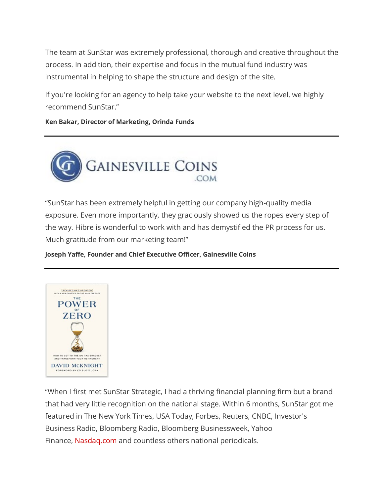The team at SunStar was extremely professional, thorough and creative throughout the process. In addition, their expertise and focus in the mutual fund industry was instrumental in helping to shape the structure and design of the site.

If you're looking for an agency to help take your website to the next level, we highly recommend SunStar."

**Ken Bakar, Director of Marketing, Orinda Funds**



"SunStar has been extremely helpful in getting our company high-quality media exposure. Even more importantly, they graciously showed us the ropes every step of the way. Hibre is wonderful to work with and has demystified the PR process for us. Much gratitude from our marketing team!"

**Joseph Yaffe, Founder and Chief Executive Officer, Gainesville Coins**



"When I first met SunStar Strategic, I had a thriving financial planning firm but a brand that had very little recognition on the national stage. Within 6 months, SunStar got me featured in The New York Times, USA Today, Forbes, Reuters, CNBC, Investor's Business Radio, Bloomberg Radio, Bloomberg Businessweek, Yahoo Finance, [Nasdaq.com](https://nasdaq.com/) and countless others national periodicals.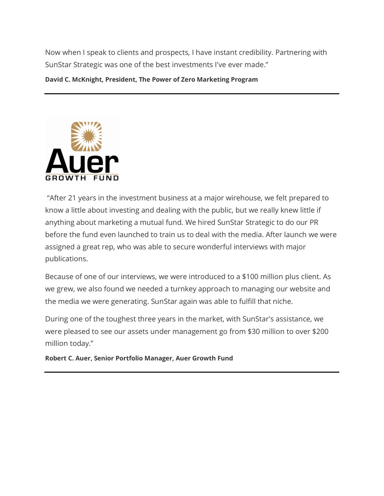Now when I speak to clients and prospects, I have instant credibility. Partnering with SunStar Strategic was one of the best investments I've ever made."

**David C. McKnight, President, The Power of Zero Marketing Program**



"After 21 years in the investment business at a major wirehouse, we felt prepared to know a little about investing and dealing with the public, but we really knew little if anything about marketing a mutual fund. We hired SunStar Strategic to do our PR before the fund even launched to train us to deal with the media. After launch we were assigned a great rep, who was able to secure wonderful interviews with major publications.

Because of one of our interviews, we were introduced to a \$100 million plus client. As we grew, we also found we needed a turnkey approach to managing our website and the media we were generating. SunStar again was able to fulfill that niche.

During one of the toughest three years in the market, with SunStar's assistance, we were pleased to see our assets under management go from \$30 million to over \$200 million today."

**Robert C. Auer, Senior Portfolio Manager, Auer Growth Fund**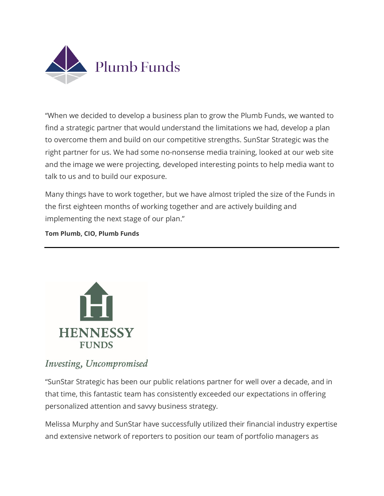

"When we decided to develop a business plan to grow the Plumb Funds, we wanted to find a strategic partner that would understand the limitations we had, develop a plan to overcome them and build on our competitive strengths. SunStar Strategic was the right partner for us. We had some no-nonsense media training, looked at our web site and the image we were projecting, developed interesting points to help media want to talk to us and to build our exposure.

Many things have to work together, but we have almost tripled the size of the Funds in the first eighteen months of working together and are actively building and implementing the next stage of our plan."

### **Tom Plumb, CIO, Plumb Funds**



## Investing, Uncompromised

"SunStar Strategic has been our public relations partner for well over a decade, and in that time, this fantastic team has consistently exceeded our expectations in offering personalized attention and savvy business strategy.

Melissa Murphy and SunStar have successfully utilized their financial industry expertise and extensive network of reporters to position our team of portfolio managers as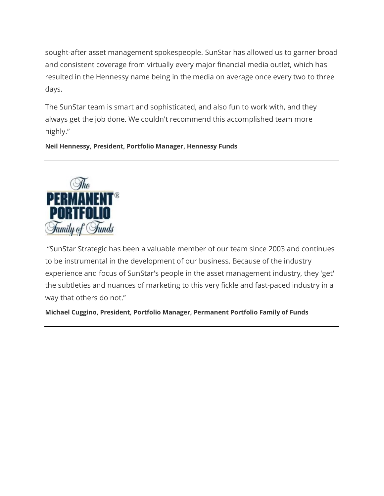sought-after asset management spokespeople. SunStar has allowed us to garner broad and consistent coverage from virtually every major financial media outlet, which has resulted in the Hennessy name being in the media on average once every two to three days.

The SunStar team is smart and sophisticated, and also fun to work with, and they always get the job done. We couldn't recommend this accomplished team more highly."

### **Neil Hennessy, President, Portfolio Manager, Hennessy Funds**



"SunStar Strategic has been a valuable member of our team since 2003 and continues to be instrumental in the development of our business. Because of the industry experience and focus of SunStar's people in the asset management industry, they 'get' the subtleties and nuances of marketing to this very fickle and fast-paced industry in a way that others do not."

**Michael Cuggino, President, Portfolio Manager, Permanent Portfolio Family of Funds**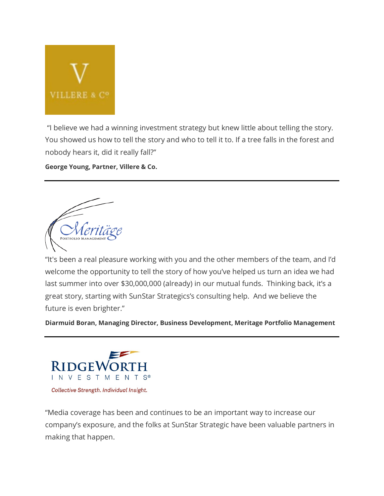

"I believe we had a winning investment strategy but knew little about telling the story. You showed us how to tell the story and who to tell it to. If a tree falls in the forest and nobody hears it, did it really fall?"

**George Young, Partner, Villere & Co.**

PORTFOLIO MAI

"It's been a real pleasure working with you and the other members of the team, and I'd welcome the opportunity to tell the story of how you've helped us turn an idea we had last summer into over \$30,000,000 (already) in our mutual funds. Thinking back, it's a great story, starting with SunStar Strategics's consulting help. And we believe the future is even brighter."

**Diarmuid Boran, Managing Director, Business Development, Meritage Portfolio Management**



Collective Strength. Individual Insight.

"Media coverage has been and continues to be an important way to increase our company's exposure, and the folks at SunStar Strategic have been valuable partners in making that happen.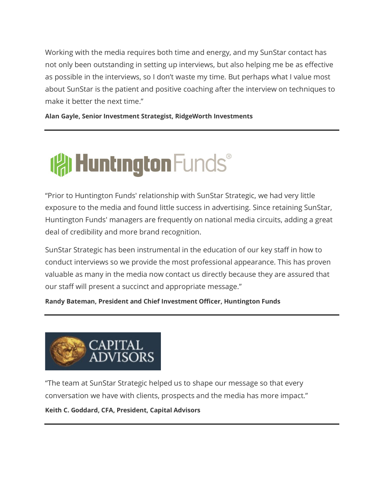Working with the media requires both time and energy, and my SunStar contact has not only been outstanding in setting up interviews, but also helping me be as effective as possible in the interviews, so I don't waste my time. But perhaps what I value most about SunStar is the patient and positive coaching after the interview on techniques to make it better the next time."

**Alan Gayle, Senior Investment Strategist, RidgeWorth Investments**

# **IAI Huntington Funds®**

"Prior to Huntington Funds' relationship with SunStar Strategic, we had very little exposure to the media and found little success in advertising. Since retaining SunStar, Huntington Funds' managers are frequently on national media circuits, adding a great deal of credibility and more brand recognition.

SunStar Strategic has been instrumental in the education of our key staff in how to conduct interviews so we provide the most professional appearance. This has proven valuable as many in the media now contact us directly because they are assured that our staff will present a succinct and appropriate message."

**Randy Bateman, President and Chief Investment Officer, Huntington Funds**



"The team at SunStar Strategic helped us to shape our message so that every conversation we have with clients, prospects and the media has more impact."

**Keith C. Goddard, CFA, President, Capital Advisors**